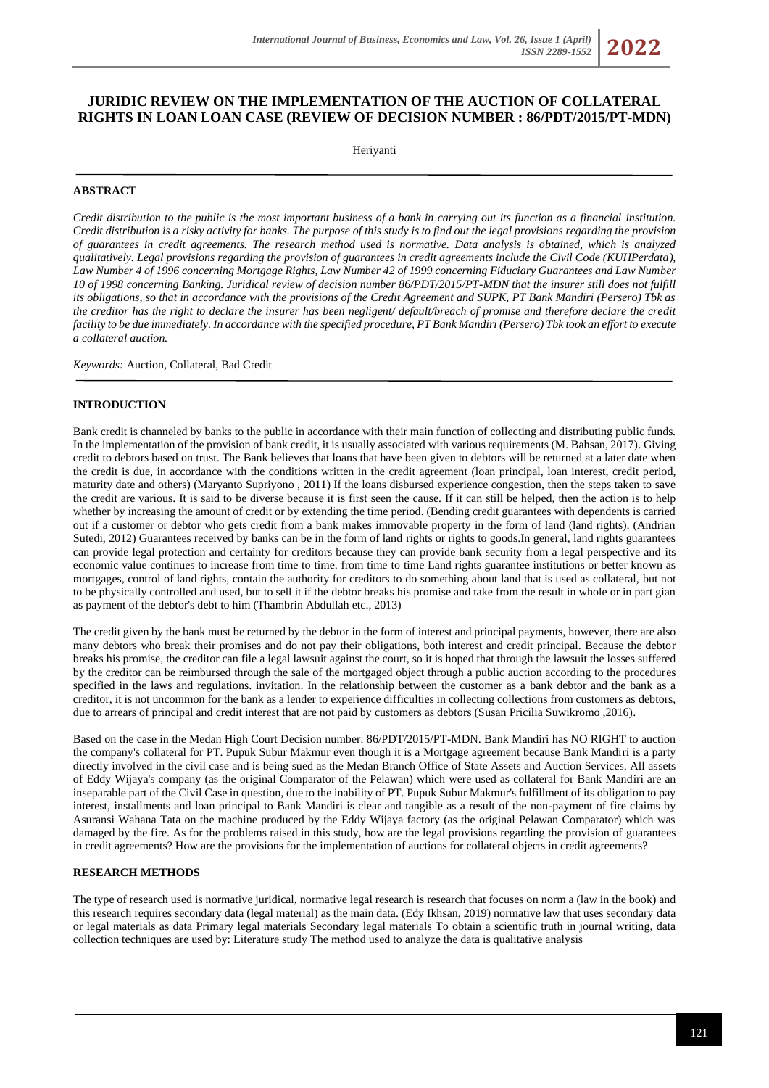# **JURIDIC REVIEW ON THE IMPLEMENTATION OF THE AUCTION OF COLLATERAL RIGHTS IN LOAN LOAN CASE (REVIEW OF DECISION NUMBER : 86/PDT/2015/PT-MDN)**

Heriyanti

## **ABSTRACT**

*Credit distribution to the public is the most important business of a bank in carrying out its function as a financial institution. Credit distribution is a risky activity for banks. The purpose of this study is to find out the legal provisions regarding the provision of guarantees in credit agreements. The research method used is normative. Data analysis is obtained, which is analyzed qualitatively. Legal provisions regarding the provision of guarantees in credit agreements include the Civil Code (KUHPerdata), Law Number 4 of 1996 concerning Mortgage Rights, Law Number 42 of 1999 concerning Fiduciary Guarantees and Law Number 10 of 1998 concerning Banking. Juridical review of decision number 86/PDT/2015/PT-MDN that the insurer still does not fulfill its obligations, so that in accordance with the provisions of the Credit Agreement and SUPK, PT Bank Mandiri (Persero) Tbk as the creditor has the right to declare the insurer has been negligent/ default/breach of promise and therefore declare the credit facility to be due immediately. In accordance with the specified procedure, PT Bank Mandiri (Persero) Tbk took an effort to execute a collateral auction.*

*Keywords:* Auction, Collateral, Bad Credit

### **INTRODUCTION**

Bank credit is channeled by banks to the public in accordance with their main function of collecting and distributing public funds. In the implementation of the provision of bank credit, it is usually associated with various requirements (M. Bahsan, 2017). Giving credit to debtors based on trust. The Bank believes that loans that have been given to debtors will be returned at a later date when the credit is due, in accordance with the conditions written in the credit agreement (loan principal, loan interest, credit period, maturity date and others) (Maryanto Supriyono , 2011) If the loans disbursed experience congestion, then the steps taken to save the credit are various. It is said to be diverse because it is first seen the cause. If it can still be helped, then the action is to help whether by increasing the amount of credit or by extending the time period. (Bending credit guarantees with dependents is carried out if a customer or debtor who gets credit from a bank makes immovable property in the form of land (land rights). (Andrian Sutedi, 2012) Guarantees received by banks can be in the form of land rights or rights to goods.In general, land rights guarantees can provide legal protection and certainty for creditors because they can provide bank security from a legal perspective and its economic value continues to increase from time to time. from time to time Land rights guarantee institutions or better known as mortgages, control of land rights, contain the authority for creditors to do something about land that is used as collateral, but not to be physically controlled and used, but to sell it if the debtor breaks his promise and take from the result in whole or in part gian as payment of the debtor's debt to him (Thambrin Abdullah etc., 2013)

The credit given by the bank must be returned by the debtor in the form of interest and principal payments, however, there are also many debtors who break their promises and do not pay their obligations, both interest and credit principal. Because the debtor breaks his promise, the creditor can file a legal lawsuit against the court, so it is hoped that through the lawsuit the losses suffered by the creditor can be reimbursed through the sale of the mortgaged object through a public auction according to the procedures specified in the laws and regulations. invitation. In the relationship between the customer as a bank debtor and the bank as a creditor, it is not uncommon for the bank as a lender to experience difficulties in collecting collections from customers as debtors, due to arrears of principal and credit interest that are not paid by customers as debtors (Susan Pricilia Suwikromo ,2016).

Based on the case in the Medan High Court Decision number: 86/PDT/2015/PT-MDN. Bank Mandiri has NO RIGHT to auction the company's collateral for PT. Pupuk Subur Makmur even though it is a Mortgage agreement because Bank Mandiri is a party directly involved in the civil case and is being sued as the Medan Branch Office of State Assets and Auction Services. All assets of Eddy Wijaya's company (as the original Comparator of the Pelawan) which were used as collateral for Bank Mandiri are an inseparable part of the Civil Case in question, due to the inability of PT. Pupuk Subur Makmur's fulfillment of its obligation to pay interest, installments and loan principal to Bank Mandiri is clear and tangible as a result of the non-payment of fire claims by Asuransi Wahana Tata on the machine produced by the Eddy Wijaya factory (as the original Pelawan Comparator) which was damaged by the fire. As for the problems raised in this study, how are the legal provisions regarding the provision of guarantees in credit agreements? How are the provisions for the implementation of auctions for collateral objects in credit agreements?

#### **RESEARCH METHODS**

The type of research used is normative juridical, normative legal research is research that focuses on norm a (law in the book) and this research requires secondary data (legal material) as the main data. (Edy Ikhsan, 2019) normative law that uses secondary data or legal materials as data Primary legal materials Secondary legal materials To obtain a scientific truth in journal writing, data collection techniques are used by: Literature study The method used to analyze the data is qualitative analysis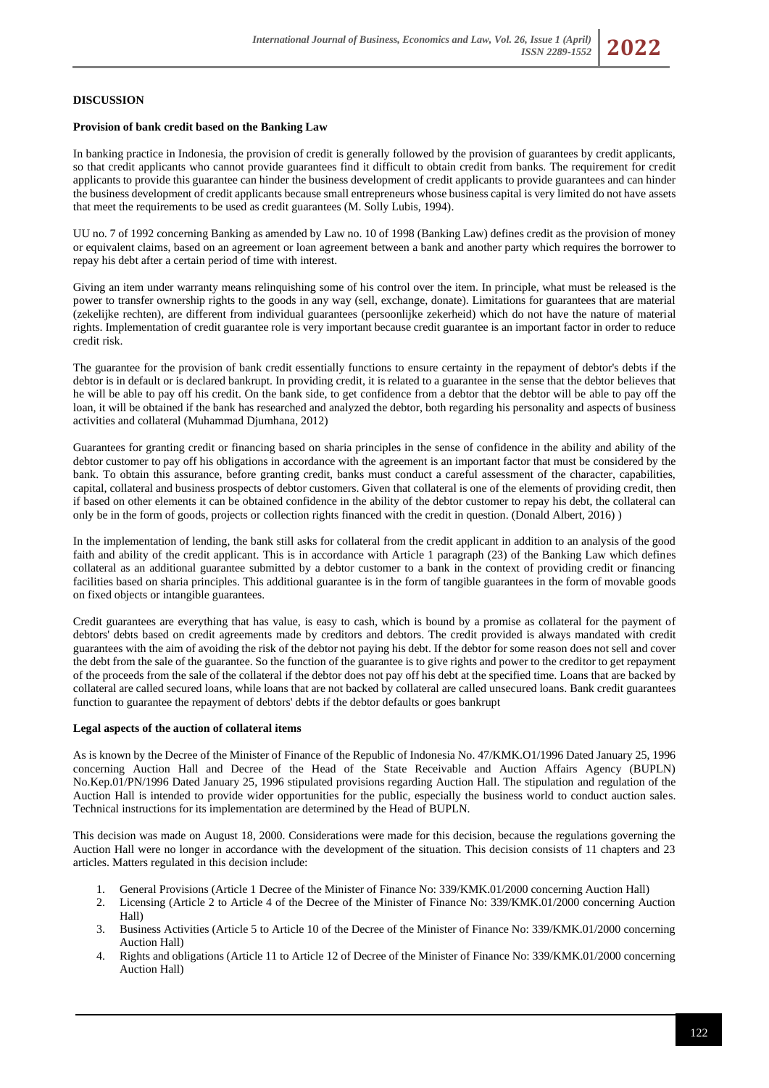# **DISCUSSION**

#### **Provision of bank credit based on the Banking Law**

In banking practice in Indonesia, the provision of credit is generally followed by the provision of guarantees by credit applicants, so that credit applicants who cannot provide guarantees find it difficult to obtain credit from banks. The requirement for credit applicants to provide this guarantee can hinder the business development of credit applicants to provide guarantees and can hinder the business development of credit applicants because small entrepreneurs whose business capital is very limited do not have assets that meet the requirements to be used as credit guarantees (M. Solly Lubis, 1994).

UU no. 7 of 1992 concerning Banking as amended by Law no. 10 of 1998 (Banking Law) defines credit as the provision of money or equivalent claims, based on an agreement or loan agreement between a bank and another party which requires the borrower to repay his debt after a certain period of time with interest.

Giving an item under warranty means relinquishing some of his control over the item. In principle, what must be released is the power to transfer ownership rights to the goods in any way (sell, exchange, donate). Limitations for guarantees that are material (zekelijke rechten), are different from individual guarantees (persoonlijke zekerheid) which do not have the nature of material rights. Implementation of credit guarantee role is very important because credit guarantee is an important factor in order to reduce credit risk.

The guarantee for the provision of bank credit essentially functions to ensure certainty in the repayment of debtor's debts if the debtor is in default or is declared bankrupt. In providing credit, it is related to a guarantee in the sense that the debtor believes that he will be able to pay off his credit. On the bank side, to get confidence from a debtor that the debtor will be able to pay off the loan, it will be obtained if the bank has researched and analyzed the debtor, both regarding his personality and aspects of business activities and collateral (Muhammad Djumhana, 2012)

Guarantees for granting credit or financing based on sharia principles in the sense of confidence in the ability and ability of the debtor customer to pay off his obligations in accordance with the agreement is an important factor that must be considered by the bank. To obtain this assurance, before granting credit, banks must conduct a careful assessment of the character, capabilities, capital, collateral and business prospects of debtor customers. Given that collateral is one of the elements of providing credit, then if based on other elements it can be obtained confidence in the ability of the debtor customer to repay his debt, the collateral can only be in the form of goods, projects or collection rights financed with the credit in question. (Donald Albert, 2016) )

In the implementation of lending, the bank still asks for collateral from the credit applicant in addition to an analysis of the good faith and ability of the credit applicant. This is in accordance with Article 1 paragraph (23) of the Banking Law which defines collateral as an additional guarantee submitted by a debtor customer to a bank in the context of providing credit or financing facilities based on sharia principles. This additional guarantee is in the form of tangible guarantees in the form of movable goods on fixed objects or intangible guarantees.

Credit guarantees are everything that has value, is easy to cash, which is bound by a promise as collateral for the payment of debtors' debts based on credit agreements made by creditors and debtors. The credit provided is always mandated with credit guarantees with the aim of avoiding the risk of the debtor not paying his debt. If the debtor for some reason does not sell and cover the debt from the sale of the guarantee. So the function of the guarantee is to give rights and power to the creditor to get repayment of the proceeds from the sale of the collateral if the debtor does not pay off his debt at the specified time. Loans that are backed by collateral are called secured loans, while loans that are not backed by collateral are called unsecured loans. Bank credit guarantees function to guarantee the repayment of debtors' debts if the debtor defaults or goes bankrupt

#### **Legal aspects of the auction of collateral items**

As is known by the Decree of the Minister of Finance of the Republic of Indonesia No. 47/KMK.O1/1996 Dated January 25, 1996 concerning Auction Hall and Decree of the Head of the State Receivable and Auction Affairs Agency (BUPLN) No.Kep.01/PN/1996 Dated January 25, 1996 stipulated provisions regarding Auction Hall. The stipulation and regulation of the Auction Hall is intended to provide wider opportunities for the public, especially the business world to conduct auction sales. Technical instructions for its implementation are determined by the Head of BUPLN.

This decision was made on August 18, 2000. Considerations were made for this decision, because the regulations governing the Auction Hall were no longer in accordance with the development of the situation. This decision consists of 11 chapters and 23 articles. Matters regulated in this decision include:

- 1. General Provisions (Article 1 Decree of the Minister of Finance No: 339/KMK.01/2000 concerning Auction Hall)
- 2. Licensing (Article 2 to Article 4 of the Decree of the Minister of Finance No: 339/KMK.01/2000 concerning Auction Hall)
- 3. Business Activities (Article 5 to Article 10 of the Decree of the Minister of Finance No: 339/KMK.01/2000 concerning Auction Hall)
- 4. Rights and obligations (Article 11 to Article 12 of Decree of the Minister of Finance No: 339/KMK.01/2000 concerning Auction Hall)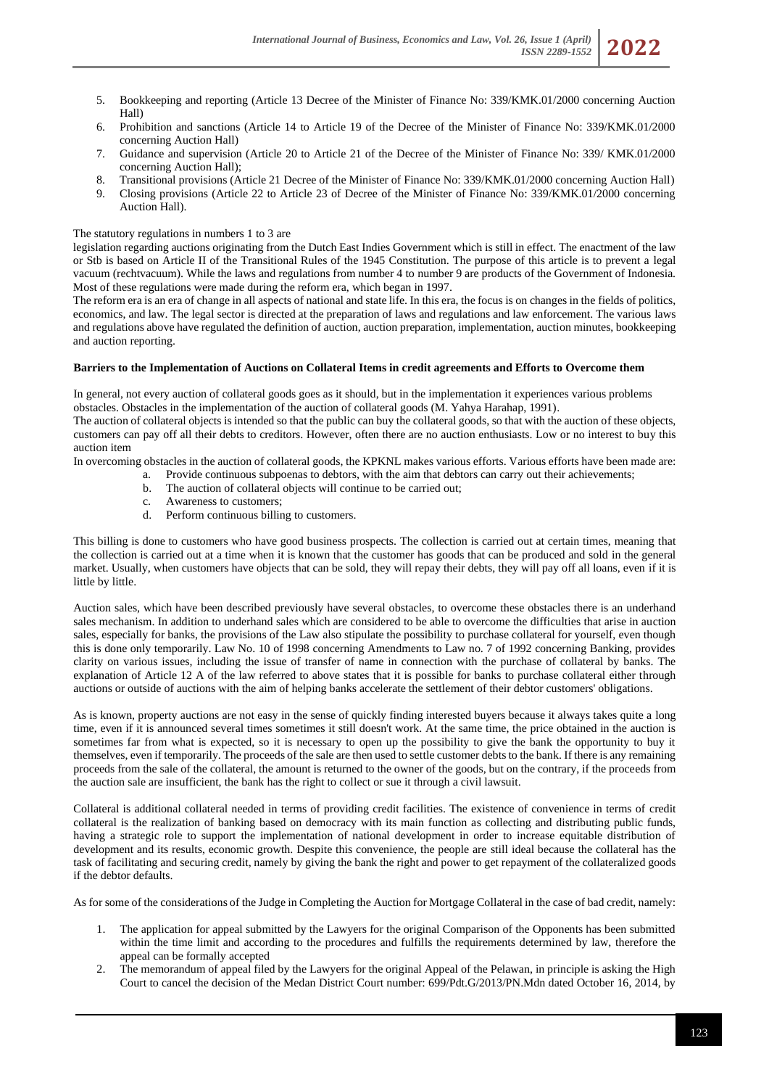- 5. Bookkeeping and reporting (Article 13 Decree of the Minister of Finance No: 339/KMK.01/2000 concerning Auction Hall)
- 6. Prohibition and sanctions (Article 14 to Article 19 of the Decree of the Minister of Finance No: 339/KMK.01/2000 concerning Auction Hall)
- 7. Guidance and supervision (Article 20 to Article 21 of the Decree of the Minister of Finance No: 339/ KMK.01/2000 concerning Auction Hall);
- 8. Transitional provisions (Article 21 Decree of the Minister of Finance No: 339/KMK.01/2000 concerning Auction Hall)
- 9. Closing provisions (Article 22 to Article 23 of Decree of the Minister of Finance No: 339/KMK.01/2000 concerning Auction Hall).

# The statutory regulations in numbers 1 to 3 are

legislation regarding auctions originating from the Dutch East Indies Government which is still in effect. The enactment of the law or Stb is based on Article II of the Transitional Rules of the 1945 Constitution. The purpose of this article is to prevent a legal vacuum (rechtvacuum). While the laws and regulations from number 4 to number 9 are products of the Government of Indonesia. Most of these regulations were made during the reform era, which began in 1997.

The reform era is an era of change in all aspects of national and state life. In this era, the focus is on changes in the fields of politics, economics, and law. The legal sector is directed at the preparation of laws and regulations and law enforcement. The various laws and regulations above have regulated the definition of auction, auction preparation, implementation, auction minutes, bookkeeping and auction reporting.

# **Barriers to the Implementation of Auctions on Collateral Items in credit agreements and Efforts to Overcome them**

In general, not every auction of collateral goods goes as it should, but in the implementation it experiences various problems obstacles. Obstacles in the implementation of the auction of collateral goods (M. Yahya Harahap, 1991).

The auction of collateral objects is intended so that the public can buy the collateral goods, so that with the auction of these objects, customers can pay off all their debts to creditors. However, often there are no auction enthusiasts. Low or no interest to buy this auction item

In overcoming obstacles in the auction of collateral goods, the KPKNL makes various efforts. Various efforts have been made are:

- a. Provide continuous subpoenas to debtors, with the aim that debtors can carry out their achievements;
- b. The auction of collateral objects will continue to be carried out;
- c. Awareness to customers;
- d. Perform continuous billing to customers.

This billing is done to customers who have good business prospects. The collection is carried out at certain times, meaning that the collection is carried out at a time when it is known that the customer has goods that can be produced and sold in the general market. Usually, when customers have objects that can be sold, they will repay their debts, they will pay off all loans, even if it is little by little.

Auction sales, which have been described previously have several obstacles, to overcome these obstacles there is an underhand sales mechanism. In addition to underhand sales which are considered to be able to overcome the difficulties that arise in auction sales, especially for banks, the provisions of the Law also stipulate the possibility to purchase collateral for yourself, even though this is done only temporarily. Law No. 10 of 1998 concerning Amendments to Law no. 7 of 1992 concerning Banking, provides clarity on various issues, including the issue of transfer of name in connection with the purchase of collateral by banks. The explanation of Article 12 A of the law referred to above states that it is possible for banks to purchase collateral either through auctions or outside of auctions with the aim of helping banks accelerate the settlement of their debtor customers' obligations.

As is known, property auctions are not easy in the sense of quickly finding interested buyers because it always takes quite a long time, even if it is announced several times sometimes it still doesn't work. At the same time, the price obtained in the auction is sometimes far from what is expected, so it is necessary to open up the possibility to give the bank the opportunity to buy it themselves, even if temporarily. The proceeds of the sale are then used to settle customer debts to the bank. If there is any remaining proceeds from the sale of the collateral, the amount is returned to the owner of the goods, but on the contrary, if the proceeds from the auction sale are insufficient, the bank has the right to collect or sue it through a civil lawsuit.

Collateral is additional collateral needed in terms of providing credit facilities. The existence of convenience in terms of credit collateral is the realization of banking based on democracy with its main function as collecting and distributing public funds, having a strategic role to support the implementation of national development in order to increase equitable distribution of development and its results, economic growth. Despite this convenience, the people are still ideal because the collateral has the task of facilitating and securing credit, namely by giving the bank the right and power to get repayment of the collateralized goods if the debtor defaults.

As for some of the considerations of the Judge in Completing the Auction for Mortgage Collateral in the case of bad credit, namely:

- 1. The application for appeal submitted by the Lawyers for the original Comparison of the Opponents has been submitted within the time limit and according to the procedures and fulfills the requirements determined by law, therefore the appeal can be formally accepted
- 2. The memorandum of appeal filed by the Lawyers for the original Appeal of the Pelawan, in principle is asking the High Court to cancel the decision of the Medan District Court number: 699/Pdt.G/2013/PN.Mdn dated October 16, 2014, by